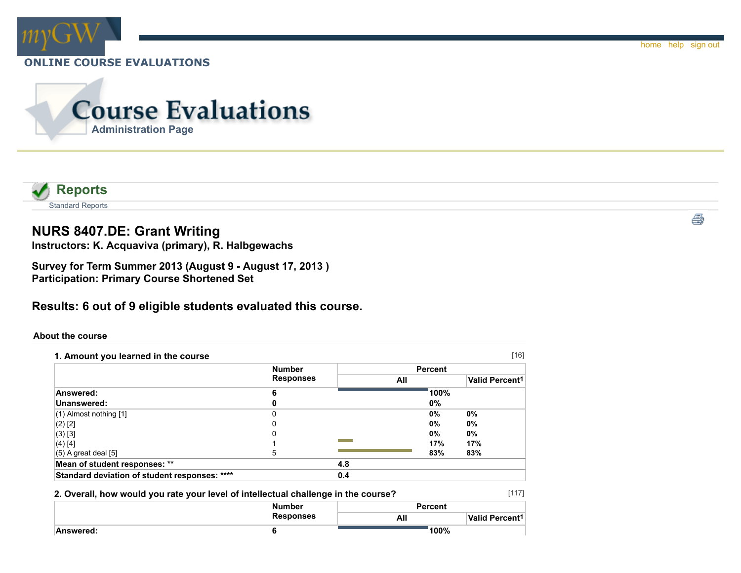



# **NURS 8407.DE: Grant Writing**

**Instructors: K. Acquaviva (primary), R. Halbgewachs**

**Survey for Term Summer 2013 (August 9 - August 17, 2013 ) Participation: Primary Course Shortened Set**

## **Results: 6 out of 9 eligible students evaluated this course.**

#### **About the course**

|                                               | <b>Number</b>    |     | <b>Percent</b> |                            |
|-----------------------------------------------|------------------|-----|----------------|----------------------------|
|                                               | <b>Responses</b> |     | All            | Valid Percent <sup>1</sup> |
| Answered:                                     | 6                |     | 100%           |                            |
| Unanswered:                                   |                  |     | 0%             |                            |
| $(1)$ Almost nothing $[1]$                    | 0                |     | $0\%$          | $0\%$                      |
| $(2)$ [2]                                     |                  |     | $0\%$          | $0\%$                      |
| (3) [3]                                       |                  |     | 0%             | 0%                         |
| (4) [4]                                       |                  |     | 17%            | 17%                        |
| $(5)$ A great deal [5]                        | 5                |     | 83%            | 83%                        |
| Mean of student responses: **                 |                  | 4.8 |                |                            |
| Standard deviation of student responses: **** |                  | 0.4 |                |                            |

#### **2. Overall, how would you rate your level of intellectual challenge in the course?**

|           | <b>Number</b>    | <b>Percent</b> |                       |  |
|-----------|------------------|----------------|-----------------------|--|
|           | <b>Responses</b> | All            | <b>Valid Percent1</b> |  |
| Answered: |                  | 100%           |                       |  |

[117]

e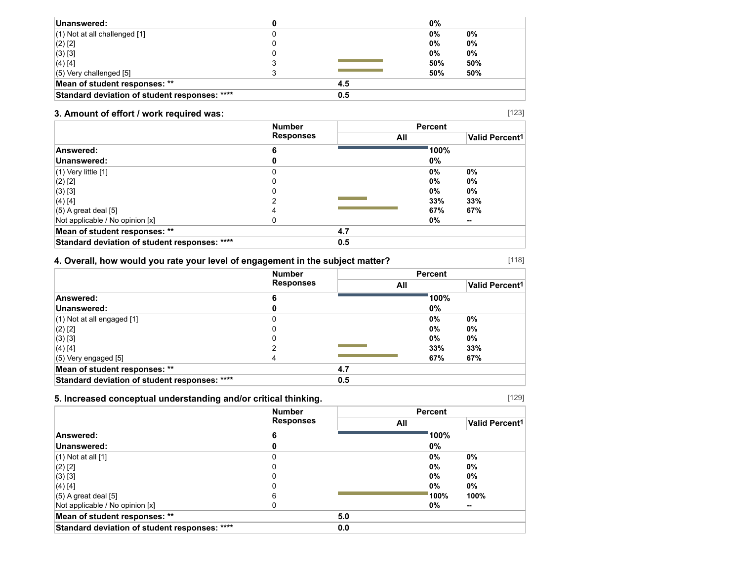| Unanswered:                                   |     | 0%    |       |
|-----------------------------------------------|-----|-------|-------|
| $(1)$ Not at all challenged $[1]$             |     | 0%    | $0\%$ |
| $(2)$ [2]                                     |     | $0\%$ | $0\%$ |
| (3) [3]                                       |     | $0\%$ | 0%    |
| $(4)$ [4]                                     |     | 50%   | 50%   |
| $(5)$ Very challenged $[5]$                   |     | 50%   | 50%   |
| Mean of student responses: **                 | 4.5 |       |       |
| Standard deviation of student responses: **** | 0.5 |       |       |

## **3. Amount of effort / work required was:**

|                                               | <b>Number</b><br><b>Responses</b> |     | <b>Percent</b> |                       |
|-----------------------------------------------|-----------------------------------|-----|----------------|-----------------------|
|                                               |                                   | All |                | <b>Valid Percent1</b> |
| Answered:                                     | 6                                 |     | 100%           |                       |
| Unanswered:                                   |                                   |     | 0%             |                       |
| $(1)$ Very little $[1]$                       | 0                                 |     | 0%             | $0\%$                 |
| $(2)$ [2]                                     | 0                                 |     | 0%             | 0%                    |
| $(3)$ [3]                                     |                                   |     | 0%             | 0%                    |
| $(4)$ [4]                                     |                                   |     | 33%            | 33%                   |
| $(5)$ A great deal [5]                        |                                   |     | 67%            | 67%                   |
| Not applicable / No opinion [x]               |                                   |     | 0%             | $\sim$                |
| Mean of student responses: **                 |                                   | 4.7 |                |                       |
| Standard deviation of student responses: **** |                                   | 0.5 |                |                       |

## **4. Overall, how would you rate your level of engagement in the subject matter?**

|                                               | <b>Number</b><br><b>Responses</b> |     | <b>Percent</b> |                       |
|-----------------------------------------------|-----------------------------------|-----|----------------|-----------------------|
|                                               |                                   |     | All            | <b>Valid Percent1</b> |
| Answered:                                     | 6                                 |     | 100%           |                       |
| Unanswered:                                   |                                   |     | 0%             |                       |
| $(1)$ Not at all engaged $[1]$                |                                   |     | $0\%$          | $0\%$                 |
| $(2)$ [2]                                     |                                   |     | $0\%$          | $0\%$                 |
| (3) [3]                                       |                                   |     | $0\%$          | $0\%$                 |
| $(4)$ [4]                                     |                                   |     | 33%            | 33%                   |
| $(5)$ Very engaged $[5]$                      |                                   |     | 67%            | 67%                   |
| Mean of student responses: **                 |                                   | 4.7 |                |                       |
| Standard deviation of student responses: **** |                                   | 0.5 |                |                       |

## **5. Increased conceptual understanding and/or critical thinking.**

|                                               | <b>Number</b><br><b>Responses</b> |     | <b>Percent</b> |                       |
|-----------------------------------------------|-----------------------------------|-----|----------------|-----------------------|
|                                               |                                   | All |                | <b>Valid Percent1</b> |
| Answered:                                     |                                   |     | 100%           |                       |
| Unanswered:                                   |                                   |     | 0%             |                       |
| $(1)$ Not at all $[1]$                        |                                   |     | 0%             | 0%                    |
| $(2)$ [2]                                     |                                   |     | $0\%$          | 0%                    |
| $(3)$ [3]                                     |                                   |     | $0\%$          | 0%                    |
| $(4)$ [4]                                     |                                   |     | $0\%$          | 0%                    |
| $(5)$ A great deal [5]                        | 6                                 |     | 100%           | 100%                  |
| Not applicable / No opinion [x]               |                                   |     | 0%             | $\sim$                |
| Mean of student responses: **                 |                                   | 5.0 |                |                       |
| Standard deviation of student responses: **** |                                   | 0.0 |                |                       |

[129]

[118]

[123]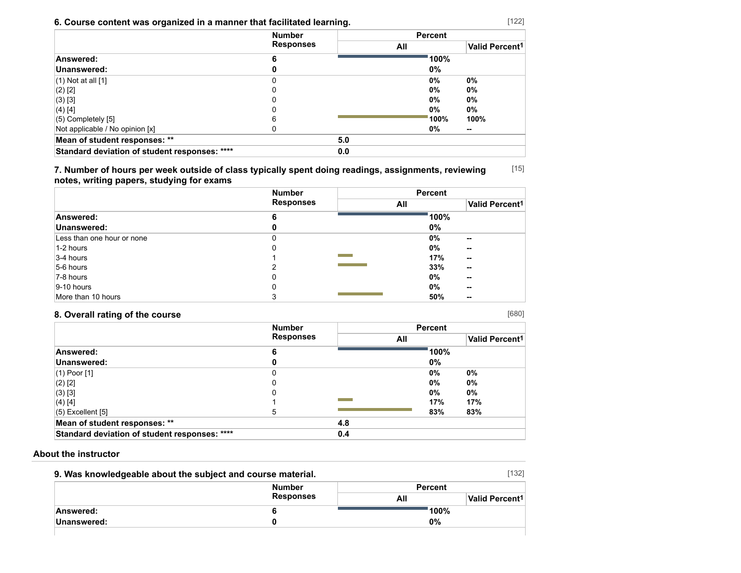## **6. Course content was organized in a manner that facilitated learning.**

|                                               | <b>Number</b><br><b>Responses</b> |     | <b>Percent</b> |                            |
|-----------------------------------------------|-----------------------------------|-----|----------------|----------------------------|
|                                               |                                   | All |                | Valid Percent <sup>1</sup> |
| Answered:                                     | 6                                 |     | 100%           |                            |
| Unanswered:                                   |                                   |     | 0%             |                            |
| $(1)$ Not at all $[1]$                        |                                   |     | 0%             | 0%                         |
| $(2)$ [2]                                     |                                   |     | 0%             | $0\%$                      |
| $(3)$ [3]                                     |                                   |     | 0%             | 0%                         |
| (4) [4]                                       |                                   |     | 0%             | 0%                         |
| $(5)$ Completely $[5]$                        | 6                                 |     | 100%           | 100%                       |
| Not applicable / No opinion [x]               |                                   |     | 0%             | --                         |
| Mean of student responses: **                 |                                   | 5.0 |                |                            |
| Standard deviation of student responses: **** |                                   | 0.0 |                |                            |

[15] **7. Number of hours per week outside of class typically spent doing readings, assignments, reviewing notes, writing papers, studying for exams**

|                            | <b>Number</b>    |                          | <b>Percent</b>             |
|----------------------------|------------------|--------------------------|----------------------------|
|                            | <b>Responses</b> | All                      | Valid Percent <sup>1</sup> |
| Answered:                  | 6                |                          | 100%                       |
| Unanswered:                | 0                |                          | $0\%$                      |
| Less than one hour or none |                  |                          | $0\%$<br>--                |
| 1-2 hours                  | 0                |                          | 0%<br>$\sim$               |
| 3-4 hours                  |                  | <b>Contract Contract</b> | 17%<br>$\sim$              |
| 5-6 hours                  | າ                |                          | 33%<br>--                  |
| 7-8 hours                  | 0                |                          | $0\%$<br>--                |
| $ 9-10$ hours              | 0                |                          | $0\%$<br>--                |
| More than 10 hours         | 3                |                          | 50%<br>--                  |

## **8. Overall rating of the course**

|                                               | <b>Number</b><br><b>Responses</b> |     | <b>Percent</b> |                            |
|-----------------------------------------------|-----------------------------------|-----|----------------|----------------------------|
|                                               |                                   | All |                | Valid Percent <sup>1</sup> |
| Answered:                                     | b                                 |     | 100%           |                            |
| Unanswered:                                   |                                   |     | $0\%$          |                            |
| $(1)$ Poor $[1]$                              |                                   |     | $0\%$          | 0%                         |
| $(2)$ [2]                                     |                                   |     | $0\%$          | $0\%$                      |
| $(3)$ [3]                                     |                                   |     | $0\%$          | 0%                         |
| (4) [4]                                       |                                   |     | 17%            | 17%                        |
| $(5)$ Excellent $[5]$                         | 5                                 |     | 83%            | 83%                        |
| Mean of student responses: **                 |                                   | 4.8 |                |                            |
| Standard deviation of student responses: **** |                                   | 0.4 |                |                            |

### **About the instructor**

| 9. Was knowledgeable about the subject and course material. |                  |                | [132]                      |
|-------------------------------------------------------------|------------------|----------------|----------------------------|
|                                                             | <b>Number</b>    | <b>Percent</b> |                            |
|                                                             | <b>Responses</b> | All            | Valid Percent <sup>1</sup> |
| Answered:                                                   |                  |                | 100%                       |
| Unanswered:                                                 |                  | 0%             |                            |
|                                                             |                  |                |                            |

[680]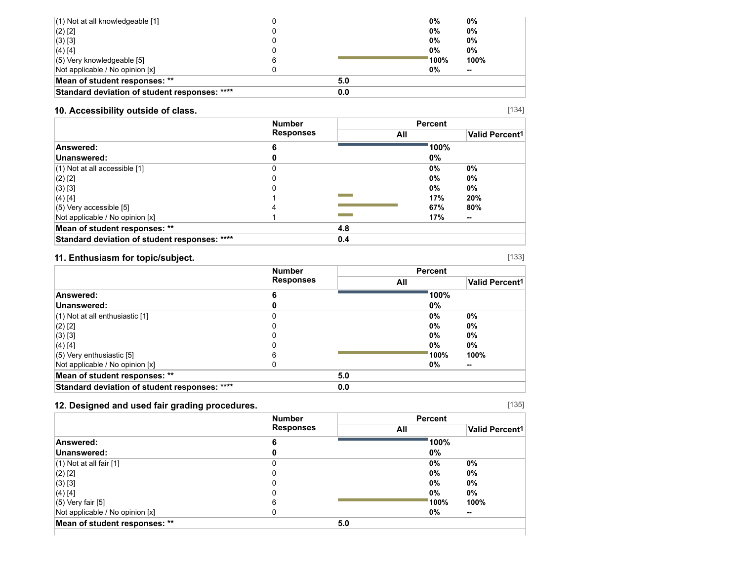| $(1)$ Not at all knowledgeable [1]            |     | 0%              | 0%     |
|-----------------------------------------------|-----|-----------------|--------|
| $(2)$ [2]                                     |     | $0\%$           | 0%     |
| $(3)$ [3]                                     |     | $0\%$           | 0%     |
| $(4)$ [4]                                     |     | 0%              | 0%     |
| $(5)$ Very knowledgeable [5]                  |     | $^{\circ}$ 100% | 100%   |
| Not applicable / No opinion [x]               |     | 0%              | $\sim$ |
| Mean of student responses: **                 | 5.0 |                 |        |
| Standard deviation of student responses: **** | 0.0 |                 |        |

## **10. Accessibility outside of class.**

|                                               | <b>Number</b><br><b>Responses</b> |     | <b>Percent</b> |                       |
|-----------------------------------------------|-----------------------------------|-----|----------------|-----------------------|
|                                               |                                   |     | All            | <b>Valid Percent1</b> |
| Answered:                                     | 6                                 |     | 100%           |                       |
| Unanswered:                                   |                                   |     | 0%             |                       |
| $(1)$ Not at all accessible $[1]$             |                                   |     | $0\%$          | 0%                    |
| $(2)$ [2]                                     |                                   |     | $0\%$          | $0\%$                 |
| $(3)$ [3]                                     |                                   |     | $0\%$          | 0%                    |
| $(4)$ [4]                                     |                                   |     | 17%            | 20%                   |
| $(5)$ Very accessible [5]                     |                                   |     | 67%            | 80%                   |
| Not applicable / No opinion [x]               |                                   |     | 17%            | $\sim$                |
| Mean of student responses: **                 |                                   | 4.8 |                |                       |
| Standard deviation of student responses: **** |                                   | 0.4 |                |                       |

## **11. Enthusiasm for topic/subject.**

|                                               | <b>Number</b>    |     | <b>Percent</b> |                |
|-----------------------------------------------|------------------|-----|----------------|----------------|
|                                               | <b>Responses</b> | All |                | Valid Percent1 |
| Answered:                                     | 6                |     | 100%           |                |
| Unanswered:                                   |                  |     | 0%             |                |
| $(1)$ Not at all enthusiastic $[1]$           |                  |     | $0\%$          | 0%             |
| $(2)$ [2]                                     |                  |     | $0\%$          | $0\%$          |
| $(3)$ [3]                                     |                  |     | $0\%$          | 0%             |
| $(4)$ [4]                                     |                  |     | $0\%$          | 0%             |
| $(5)$ Very enthusiastic [5]                   | 6                |     | 100%           | 100%           |
| Not applicable / No opinion [x]               |                  |     | 0%             | --             |
| Mean of student responses: **                 |                  | 5.0 |                |                |
| Standard deviation of student responses: **** |                  | 0.0 |                |                |

## **12. Designed and used fair grading procedures.**

|                                 | <b>Number</b>    | <b>Percent</b> |                       |  |
|---------------------------------|------------------|----------------|-----------------------|--|
|                                 | <b>Responses</b> | All            | <b>Valid Percent1</b> |  |
| Answered:                       | 6                | 100%           |                       |  |
| Unanswered:                     |                  | 0%             |                       |  |
| $(1)$ Not at all fair $[1]$     |                  | 0%             | $0\%$                 |  |
| (2) [2]                         |                  | 0%             | $0\%$                 |  |
| (3) [3]                         |                  | 0%             | $0\%$                 |  |
| (4) [4]                         |                  | $0\%$          | $0\%$                 |  |
| (5) Very fair [5]               | 6                | 100%           | 100%                  |  |
| Not applicable / No opinion [x] |                  | $0\%$          | $\sim$                |  |
| Mean of student responses: **   |                  | 5.0            |                       |  |

[135]

[134]

[133]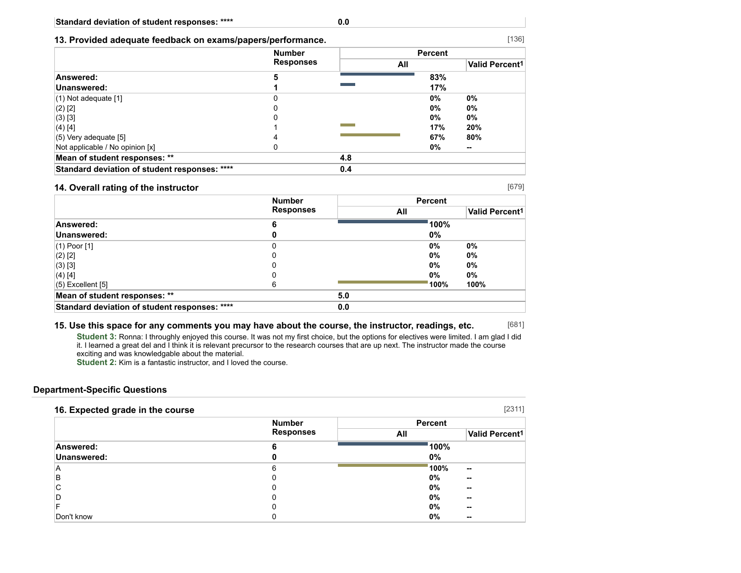#### **13. Provided adequate feedback on exams/papers/performance.**

|                                               | <b>Number</b><br><b>Responses</b> | <b>Percent</b> |     |                            |
|-----------------------------------------------|-----------------------------------|----------------|-----|----------------------------|
|                                               |                                   | All            |     | Valid Percent <sup>1</sup> |
| Answered:                                     | 5                                 |                | 83% |                            |
| Unanswered:                                   |                                   |                | 17% |                            |
| $(1)$ Not adequate $[1]$                      | 0                                 |                | 0%  | 0%                         |
| $(2)$ [2]                                     |                                   |                | 0%  | 0%                         |
| $(3)$ [3]                                     |                                   |                | 0%  | 0%                         |
| (4) [4]                                       |                                   |                | 17% | 20%                        |
| $(5)$ Very adequate [5]                       | 4                                 |                | 67% | 80%                        |
| Not applicable / No opinion [x]               |                                   |                | 0%  | --                         |
| Mean of student responses: **                 |                                   | 4.8            |     |                            |
| Standard deviation of student responses: **** |                                   | 0.4            |     |                            |

#### **14. Overall rating of the instructor**

[679]

[681]

|                                               | <b>Number</b>    |     | <b>Percent</b> |                       |  |
|-----------------------------------------------|------------------|-----|----------------|-----------------------|--|
|                                               | <b>Responses</b> |     | All            | <b>Valid Percent1</b> |  |
| Answered:                                     | 6                |     | 100%           |                       |  |
| Unanswered:                                   |                  |     | 0%             |                       |  |
| $(1)$ Poor $[1]$                              | 0                |     | 0%             | 0%                    |  |
| $(2)$ [2]                                     | 0                |     | 0%             | 0%                    |  |
| (3) [3]                                       | 0                |     | 0%             | 0%                    |  |
| (4) [4]                                       | 0                |     | 0%             | 0%                    |  |
| $(5)$ Excellent $[5]$                         | 6                |     | 100%           | 100%                  |  |
| Mean of student responses: **                 |                  | 5.0 |                |                       |  |
| Standard deviation of student responses: **** |                  | 0.0 |                |                       |  |

#### **15. Use this space for any comments you may have about the course, the instructor, readings, etc.**

**Student 3:** Ronna: I throughly enjoyed this course. It was not my first choice, but the options for electives were limited. I am glad I did it. I learned a great del and I think it is relevant precursor to the research courses that are up next. The instructor made the course exciting and was knowledgable about the material.

**Student 2:** Kim is a fantastic instructor, and I loved the course.

#### **Department-Specific Questions**

| 16. Expected grade in the course |                  |                | [2311]                |
|----------------------------------|------------------|----------------|-----------------------|
|                                  | <b>Number</b>    | <b>Percent</b> |                       |
|                                  | <b>Responses</b> | All            | <b>Valid Percent1</b> |
| Answered:                        | 6                | 100%           |                       |
| Unanswered:                      |                  | $0\%$          |                       |
| Α                                | 6                | 100%           | --                    |
| в                                |                  | 0%             | --                    |
| С                                |                  | 0%             | --                    |
| D                                |                  | $0\%$          | --                    |
|                                  |                  | $0\%$          | --                    |
| Don't know                       |                  | 0%             | --                    |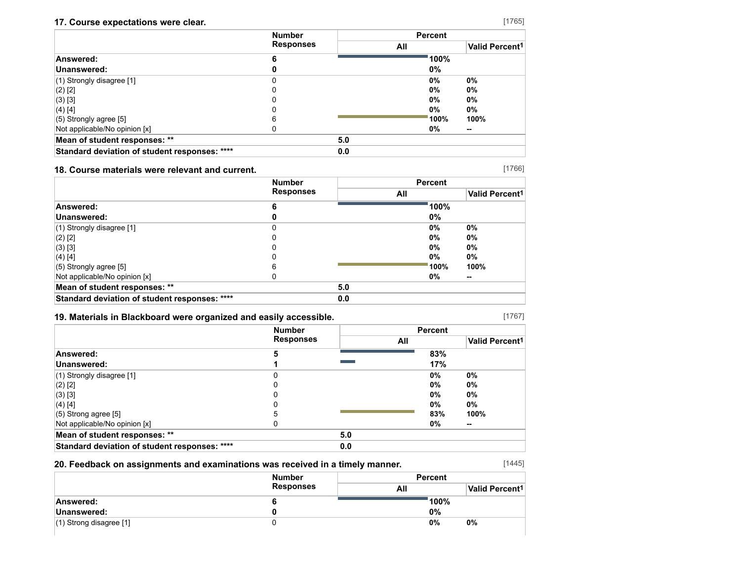## **17. Course expectations were clear.**

|                                               | <b>Number</b><br><b>Responses</b> |     | <b>Percent</b> |                       |
|-----------------------------------------------|-----------------------------------|-----|----------------|-----------------------|
|                                               |                                   | All |                | <b>Valid Percent1</b> |
| Answered:                                     | 6                                 |     | 100%           |                       |
| Unanswered:                                   | 0                                 |     | 0%             |                       |
| $(1)$ Strongly disagree [1]                   | 0                                 |     | 0%             | 0%                    |
| $(2)$ [2]                                     | 0                                 |     | 0%             | 0%                    |
| $(3)$ [3]                                     | 0                                 |     | 0%             | 0%                    |
| (4) [4]                                       | 0                                 |     | $0\%$          | 0%                    |
| $(5)$ Strongly agree [5]                      | 6                                 |     | 100%           | 100%                  |
| Not applicable/No opinion [x]                 | 0                                 |     | 0%             | --                    |
| Mean of student responses: **                 |                                   | 5.0 |                |                       |
| Standard deviation of student responses: **** |                                   | 0.0 |                |                       |

## **18. Course materials were relevant and current.**

[1766]

|                                               | <b>Number</b>    |     | <b>Percent</b> |                       |
|-----------------------------------------------|------------------|-----|----------------|-----------------------|
|                                               | <b>Responses</b> |     | All            | <b>Valid Percent1</b> |
| Answered:                                     | 6                |     | 100%           |                       |
| Unanswered:                                   |                  |     | 0%             |                       |
| $(1)$ Strongly disagree [1]                   | 0                |     | 0%             | 0%                    |
| $(2)$ [2]                                     |                  |     | 0%             | 0%                    |
| (3) [3]                                       |                  |     | 0%             | 0%                    |
| (4) [4]                                       |                  |     | 0%             | 0%                    |
| $(5)$ Strongly agree [5]                      | 6                |     | 100%           | 100%                  |
| Not applicable/No opinion [x]                 |                  |     | 0%             | --                    |
| Mean of student responses: **                 |                  | 5.0 |                |                       |
| Standard deviation of student responses: **** |                  | 0.0 |                |                       |

### **19. Materials in Blackboard were organized and easily accessible.**

[1767]

|                                               | <b>Number</b>    |     | <b>Percent</b> |                       |
|-----------------------------------------------|------------------|-----|----------------|-----------------------|
|                                               | <b>Responses</b> | All |                | <b>Valid Percent1</b> |
| Answered:                                     | 5                |     | 83%            |                       |
| Unanswered:                                   |                  |     | 17%            |                       |
| (1) Strongly disagree [1]                     |                  |     | 0%             | 0%                    |
| $(2)$ [2]                                     |                  |     | 0%             | 0%                    |
| $(3)$ [3]                                     |                  |     | 0%             | 0%                    |
| (4) [4]                                       |                  |     | 0%             | 0%                    |
| $(5)$ Strong agree $[5]$                      | 5                |     | 83%            | 100%                  |
| Not applicable/No opinion [x]                 |                  |     | 0%             | --                    |
| Mean of student responses: **                 |                  | 5.0 |                |                       |
| Standard deviation of student responses: **** |                  | 0.0 |                |                       |

## **20. Feedback on assignments and examinations was received in a timely manner.**

[1445]

|                           | <b>Number</b>    | <b>Percent</b> |                            |  |
|---------------------------|------------------|----------------|----------------------------|--|
|                           | <b>Responses</b> | All            | Valid Percent <sup>1</sup> |  |
| Answered:                 |                  | 100%           |                            |  |
| Unanswered:               |                  | 0%             |                            |  |
| $(1)$ Strong disagree [1] |                  | 0%             | 0%                         |  |

[1765]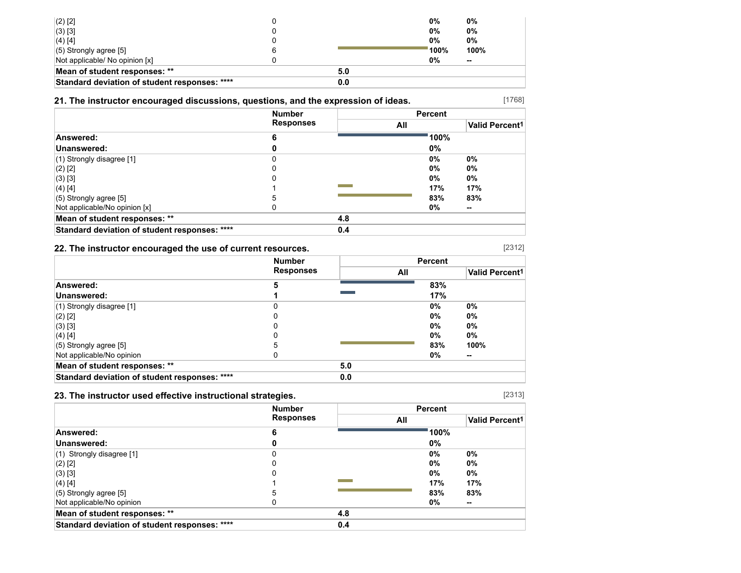| $(2)$ [2]                                     |     | 0%                   | 0%     |
|-----------------------------------------------|-----|----------------------|--------|
| $(3)$ [3]                                     |     | 0%                   | 0%     |
| (4) [4]                                       |     | 0%                   | 0%     |
| $(5)$ Strongly agree [5]                      |     | $^{\backprime}$ 100% | 100%   |
| Not applicable/ No opinion [x]                |     | 0%                   | $\sim$ |
| Mean of student responses: **                 | 5.0 |                      |        |
| Standard deviation of student responses: **** | 0.0 |                      |        |

## **21. The instructor encouraged discussions, questions, and the expression of ideas.**

|                                               | <b>Number</b>    |     | <b>Percent</b> |                       |
|-----------------------------------------------|------------------|-----|----------------|-----------------------|
|                                               | <b>Responses</b> | All |                | <b>Valid Percent1</b> |
| Answered:                                     | 6                |     | 100%           |                       |
| Unanswered:                                   |                  |     | 0%             |                       |
| $(1)$ Strongly disagree [1]                   | 0                |     | $0\%$          | 0%                    |
| $(2)$ [2]                                     |                  |     | $0\%$          | 0%                    |
| $(3)$ [3]                                     | 0                |     | $0\%$          | 0%                    |
| $(4)$ [4]                                     |                  |     | 17%            | 17%                   |
| $(5)$ Strongly agree [5]                      | 5                |     | 83%            | 83%                   |
| Not applicable/No opinion [x]                 |                  |     | 0%             | --                    |
| Mean of student responses: **                 |                  | 4.8 |                |                       |
| Standard deviation of student responses: **** |                  | 0.4 |                |                       |

### **22. The instructor encouraged the use of current resources.**

|                                               | <b>Number</b>    |     | <b>Percent</b> |                       |
|-----------------------------------------------|------------------|-----|----------------|-----------------------|
|                                               | <b>Responses</b> |     | All            | <b>Valid Percent1</b> |
| Answered:                                     | 5                |     | 83%            |                       |
| Unanswered:                                   |                  |     | 17%            |                       |
| (1) Strongly disagree [1]                     |                  |     | 0%             | 0%                    |
| (2) [2]                                       |                  |     | 0%             | 0%                    |
| $(3)$ [3]                                     |                  |     | 0%             | 0%                    |
| $(4)$ [4]                                     |                  |     | 0%             | 0%                    |
| $(5)$ Strongly agree $[5]$                    | 5                |     | 83%            | 100%                  |
| Not applicable/No opinion                     |                  |     | 0%             | --                    |
| Mean of student responses: **                 |                  | 5.0 |                |                       |
| Standard deviation of student responses: **** |                  | 0.0 |                |                       |

## **23. The instructor used effective instructional strategies.**

|                                               | <b>Number</b><br><b>Responses</b> |     |     | <b>Percent</b> |                       |
|-----------------------------------------------|-----------------------------------|-----|-----|----------------|-----------------------|
|                                               |                                   |     | All |                | <b>Valid Percent1</b> |
| Answered:                                     | 6                                 |     |     | 100%           |                       |
| Unanswered:                                   |                                   |     |     | 0%             |                       |
| $(1)$ Strongly disagree [1]                   |                                   |     |     | $0\%$          | 0%                    |
| $(2)$ [2]                                     | C                                 |     |     | $0\%$          | 0%                    |
| (3) [3]                                       | 0                                 |     |     | $0\%$          | 0%                    |
| $(4)$ [4]                                     |                                   |     |     | 17%            | 17%                   |
| $(5)$ Strongly agree [5]                      | 5                                 |     |     | 83%            | 83%                   |
| Not applicable/No opinion                     |                                   |     |     | 0%             | --                    |
| Mean of student responses: **                 |                                   | 4.8 |     |                |                       |
| Standard deviation of student responses: **** |                                   | 0.4 |     |                |                       |

[2313]

[2312]

[1768]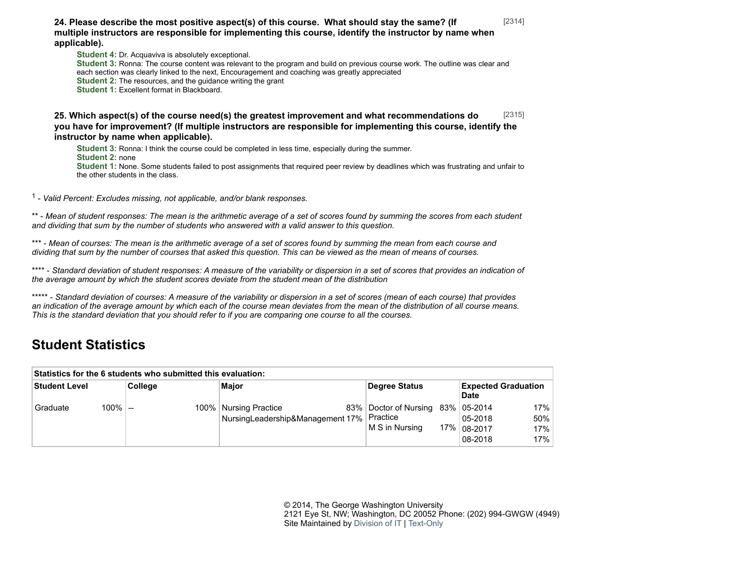**24. Please describe the most positive aspect(s) of this course. What should stay the same? (If multiple instructors are responsible for implementing this course, identify the instructor by name when applicable).**

**Student 4:** Dr. Acquaviva is absolutely exceptional. **Student 3:** Ronna: The course content was relevant to the program and build on previous course work. The outline was clear and each section was clearly linked to the next, Encouragement and coaching was greatly appreciated **Student 2:** The resources, and the guidance writing the grant **Student 1:** Excellent format in Blackboard.

[2315] **25. Which aspect(s) of the course need(s) the greatest improvement and what recommendations do you have for improvement? (If multiple instructors are responsible for implementing this course, identify the instructor by name when applicable).**

**Student 3:** Ronna: I think the course could be completed in less time, especially during the summer. **Student 2:** none **Student 1:** None. Some students failed to post assignments that required peer review by deadlines which was frustrating and unfair to the other students in the class.

1 - *Valid Percent: Excludes missing, not applicable, and/or blank responses.*

\*\* - *Mean of student responses: The mean is the arithmetic average of a set of scores found by summing the scores from each student and dividing that sum by the number of students who answered with a valid answer to this question.*

\*\*\* - *Mean of courses: The mean is the arithmetic average of a set of scores found by summing the mean from each course and dividing that sum by the number of courses that asked this question. This can be viewed as the mean of means of courses.*

\*\*\*\* - *Standard deviation of student responses: A measure of the variability or dispersion in a set of scores that provides an indication of the average amount by which the student scores deviate from the student mean of the distribution*

\*\*\*\*\* - *Standard deviation of courses: A measure of the variability or dispersion in a set of scores (mean of each course) that provides an indication of the average amount by which each of the course mean deviates from the mean of the distribution of all course means. This is the standard deviation that you should refer to if you are comparing one course to all the courses.*

# **Student Statistics**

| Statistics for the 6 students who submitted this evaluation: |           |         |                                                                        |  |                                                           |  |                                    |                          |  |  |  |  |
|--------------------------------------------------------------|-----------|---------|------------------------------------------------------------------------|--|-----------------------------------------------------------|--|------------------------------------|--------------------------|--|--|--|--|
| Student Level                                                |           | College | Major                                                                  |  | Degree Status                                             |  | <b>Expected Graduation</b><br>Date |                          |  |  |  |  |
| l Graduate                                                   | $100\%$ - |         | 100%   Nursing Practice<br>NursingLeadership&Management 17%   Practice |  | 83%   Doctor of Nursing 83%   05-2014<br>  M S in Nursina |  | 05-2018<br>17% 08-2017<br>08-2018  | 17%<br>50%<br>17%<br>17% |  |  |  |  |

© 2014, The George Washington University 2121 Eye St, NW; Washington, DC 20052 Phone: (202) 994-GWGW (4949) Site Maintained by [Division of IT](http://it.gwu.edu/) | [Text-Only](http://transcoder.usablenet.com/tt/referrer)

[2314]